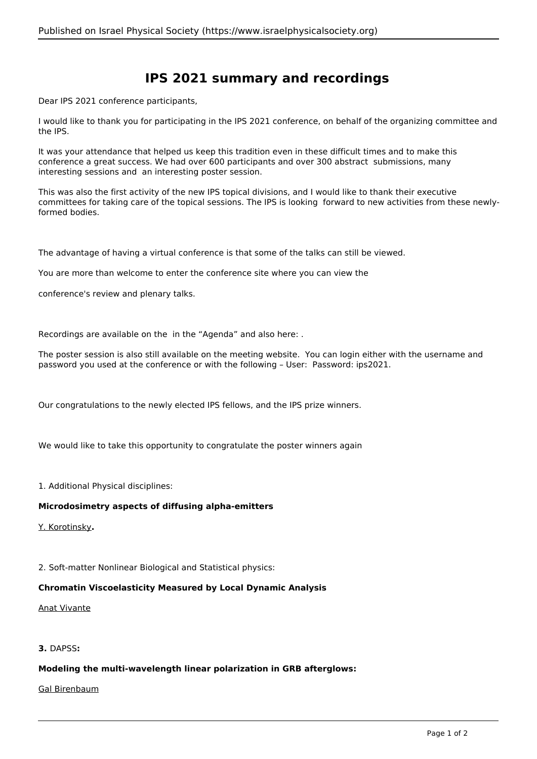# **IPS 2021 summary and recordings**

Dear IPS 2021 conference participants,

I would like to thank you for participating in the IPS 2021 conference, on behalf of the organizing committee and the IPS.

It was your attendance that helped us keep this tradition even in these difficult times and to make this conference a great success. We had over 600 participants and over 300 abstract submissions, many interesting sessions and an interesting poster session.

This was also the first activity of the new IPS topical divisions, and I would like to thank their executive committees for taking care of the topical sessions. The IPS is looking forward to new activities from these newlyformed bodies.

The advantage of having a virtual conference is that some of the talks can still be viewed.

You are more than welcome to enter the conference site where you can view the

conference's review and plenary talks.

Recordings are available on the in the "Agenda" and also here: .

The poster session is also still available on the meeting website. You can login either with the username and password you used at the conference or with the following – User: Password: ips2021.

Our congratulations to the newly elected IPS fellows, and the IPS prize winners.

We would like to take this opportunity to congratulate the poster winners again

1. Additional Physical disciplines:

#### **Microdosimetry aspects of diffusing alpha-emitters**

Y. Korotinsky**.**

2. Soft-matter Nonlinear Biological and Statistical physics:

## **Chromatin Viscoelasticity Measured by Local Dynamic Analysis**

#### Anat Vivante

# **3.** DAPSS**:**

#### **Modeling the multi-wavelength linear polarization in GRB afterglows:**

#### Gal Birenbaum